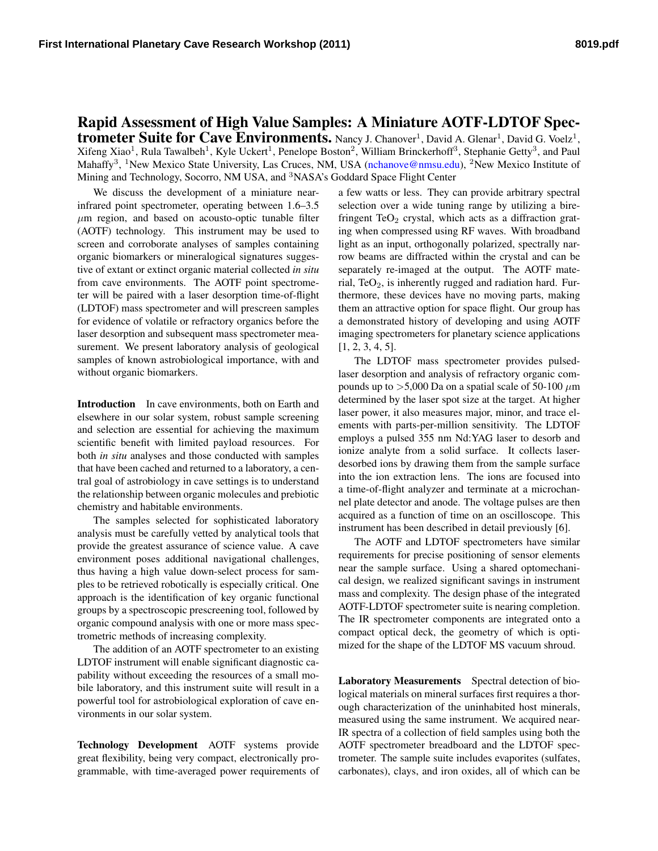## Rapid Assessment of High Value Samples: A Miniature AOTF-LDTOF Spectrometer Suite for Cave Environments. Nancy J. Chanover<sup>1</sup>, David A. Glenar<sup>1</sup>, David G. Voelz<sup>1</sup>,  $X$ ifeng  $X$ iao<sup>1</sup>, Rula Tawalbeh<sup>1</sup>, Kyle Uckert<sup>1</sup>, Penelope Boston<sup>2</sup>, William Brinckerhoff<sup>3</sup>, Stephanie Getty<sup>3</sup>, and Paul Mahaffy<sup>3</sup>, <sup>1</sup>New Mexico State University, Las Cruces, NM, USA [\(nchanove@nmsu.edu\)](mailto:nchanove@nmsu.edu), <sup>2</sup>New Mexico Institute of Mining and Technology, Socorro, NM USA, and <sup>3</sup>NASA's Goddard Space Flight Center

We discuss the development of a miniature nearinfrared point spectrometer, operating between 1.6–3.5  $\mu$ m region, and based on acousto-optic tunable filter (AOTF) technology. This instrument may be used to screen and corroborate analyses of samples containing organic biomarkers or mineralogical signatures suggestive of extant or extinct organic material collected *in situ* from cave environments. The AOTF point spectrometer will be paired with a laser desorption time-of-flight (LDTOF) mass spectrometer and will prescreen samples for evidence of volatile or refractory organics before the laser desorption and subsequent mass spectrometer measurement. We present laboratory analysis of geological samples of known astrobiological importance, with and without organic biomarkers.

Introduction In cave environments, both on Earth and elsewhere in our solar system, robust sample screening and selection are essential for achieving the maximum scientific benefit with limited payload resources. For both *in situ* analyses and those conducted with samples that have been cached and returned to a laboratory, a central goal of astrobiology in cave settings is to understand the relationship between organic molecules and prebiotic chemistry and habitable environments.

The samples selected for sophisticated laboratory analysis must be carefully vetted by analytical tools that provide the greatest assurance of science value. A cave environment poses additional navigational challenges, thus having a high value down-select process for samples to be retrieved robotically is especially critical. One approach is the identification of key organic functional groups by a spectroscopic prescreening tool, followed by organic compound analysis with one or more mass spectrometric methods of increasing complexity.

The addition of an AOTF spectrometer to an existing LDTOF instrument will enable significant diagnostic capability without exceeding the resources of a small mobile laboratory, and this instrument suite will result in a powerful tool for astrobiological exploration of cave environments in our solar system.

Technology Development AOTF systems provide great flexibility, being very compact, electronically programmable, with time-averaged power requirements of a few watts or less. They can provide arbitrary spectral selection over a wide tuning range by utilizing a birefringent Te $O_2$  crystal, which acts as a diffraction grating when compressed using RF waves. With broadband light as an input, orthogonally polarized, spectrally narrow beams are diffracted within the crystal and can be separately re-imaged at the output. The AOTF material, TeO<sub>2</sub>, is inherently rugged and radiation hard. Furthermore, these devices have no moving parts, making them an attractive option for space flight. Our group has a demonstrated history of developing and using AOTF imaging spectrometers for planetary science applications [\[1,](#page-1-0) [2,](#page-1-1) [3,](#page-1-2) [4,](#page-1-3) [5\]](#page-1-4).

The LDTOF mass spectrometer provides pulsedlaser desorption and analysis of refractory organic compounds up to  $>5,000$  Da on a spatial scale of 50-100  $\mu$ m determined by the laser spot size at the target. At higher laser power, it also measures major, minor, and trace elements with parts-per-million sensitivity. The LDTOF employs a pulsed 355 nm Nd:YAG laser to desorb and ionize analyte from a solid surface. It collects laserdesorbed ions by drawing them from the sample surface into the ion extraction lens. The ions are focused into a time-of-flight analyzer and terminate at a microchannel plate detector and anode. The voltage pulses are then acquired as a function of time on an oscilloscope. This instrument has been described in detail previously [\[6\]](#page-1-5).

The AOTF and LDTOF spectrometers have similar requirements for precise positioning of sensor elements near the sample surface. Using a shared optomechanical design, we realized significant savings in instrument mass and complexity. The design phase of the integrated AOTF-LDTOF spectrometer suite is nearing completion. The IR spectrometer components are integrated onto a compact optical deck, the geometry of which is optimized for the shape of the LDTOF MS vacuum shroud.

Laboratory Measurements Spectral detection of biological materials on mineral surfaces first requires a thorough characterization of the uninhabited host minerals, measured using the same instrument. We acquired near-IR spectra of a collection of field samples using both the AOTF spectrometer breadboard and the LDTOF spectrometer. The sample suite includes evaporites (sulfates, carbonates), clays, and iron oxides, all of which can be